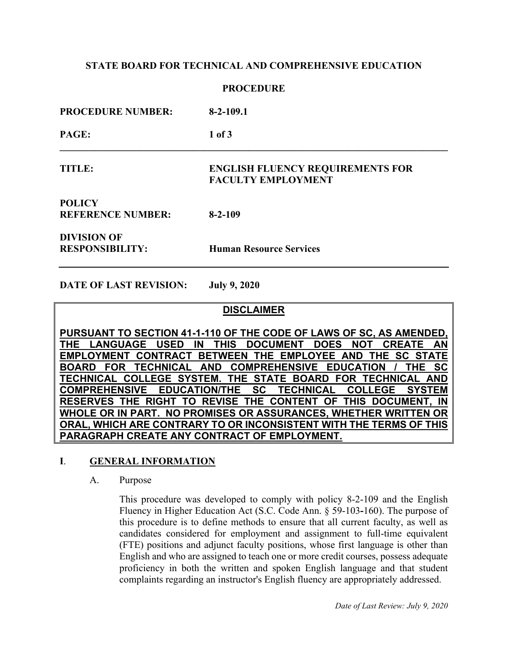# **STATE BOARD FOR TECHNICAL AND COMPREHENSIVE EDUCATION**

## **PROCEDURE**

| <b>PROCEDURE NUMBER:</b>                     | $8-2-109.1$                                                          |
|----------------------------------------------|----------------------------------------------------------------------|
| PAGE:                                        | $1$ of $3$                                                           |
| TITLE:                                       | <b>ENGLISH FLUENCY REQUIREMENTS FOR</b><br><b>FACULTY EMPLOYMENT</b> |
| <b>POLICY</b><br><b>REFERENCE NUMBER:</b>    | $8-2-109$                                                            |
| <b>DIVISION OF</b><br><b>RESPONSIBILITY:</b> | <b>Human Resource Services</b>                                       |

**DATE OF LAST REVISION: July 9, 2020**

#### **DISCLAIMER**

**PURSUANT TO SECTION 41-1-110 OF THE CODE OF LAWS OF SC, AS AMENDED, THE LANGUAGE USED IN THIS DOCUMENT DOES NOT CREATE AN EMPLOYMENT CONTRACT BETWEEN THE EMPLOYEE AND THE SC STATE BOARD FOR TECHNICAL AND COMPREHENSIVE EDUCATION / THE SC TECHNICAL COLLEGE SYSTEM. THE STATE BOARD FOR TECHNICAL AND COMPREHENSIVE EDUCATION/THE SC TECHNICAL COLLEGE SYSTEM RESERVES THE RIGHT TO REVISE THE CONTENT OF THIS DOCUMENT, IN WHOLE OR IN PART. NO PROMISES OR ASSURANCES, WHETHER WRITTEN OR ORAL, WHICH ARE CONTRARY TO OR INCONSISTENT WITH THE TERMS OF THIS PARAGRAPH CREATE ANY CONTRACT OF EMPLOYMENT.**

## **I**. **GENERAL INFORMATION**

#### A. Purpose

This procedure was developed to comply with policy 8-2-109 and the English Fluency in Higher Education Act (S.C. Code Ann. § 59-103**-**160). The purpose of this procedure is to define methods to ensure that all current faculty, as well as candidates considered for employment and assignment to full-time equivalent (FTE) positions and adjunct faculty positions, whose first language is other than English and who are assigned to teach one or more credit courses, possess adequate proficiency in both the written and spoken English language and that student complaints regarding an instructor's English fluency are appropriately addressed.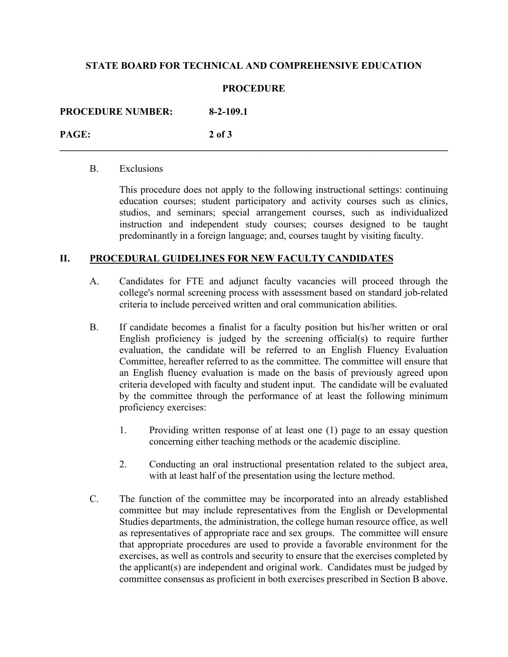# **STATE BOARD FOR TECHNICAL AND COMPREHENSIVE EDUCATION**

## **PROCEDURE**

**\_\_\_\_\_\_\_\_\_\_\_\_\_\_\_\_\_\_\_\_\_\_\_\_\_\_\_\_\_\_\_\_\_\_\_\_\_\_\_\_\_\_\_\_\_\_\_\_\_\_\_\_\_\_\_\_\_\_\_\_\_\_\_\_\_\_\_\_\_\_\_\_\_\_\_\_\_\_**

**PROCEDURE NUMBER: 8-2-109.1**

**PAGE: 2 of 3**

#### B. Exclusions

This procedure does not apply to the following instructional settings: continuing education courses; student participatory and activity courses such as clinics, studios, and seminars; special arrangement courses, such as individualized instruction and independent study courses; courses designed to be taught predominantly in a foreign language; and, courses taught by visiting faculty.

## **II. PROCEDURAL GUIDELINES FOR NEW FACULTY CANDIDATES**

- A. Candidates for FTE and adjunct faculty vacancies will proceed through the college's normal screening process with assessment based on standard job-related criteria to include perceived written and oral communication abilities.
- B. If candidate becomes a finalist for a faculty position but his/her written or oral English proficiency is judged by the screening official(s) to require further evaluation, the candidate will be referred to an English Fluency Evaluation Committee, hereafter referred to as the committee. The committee will ensure that an English fluency evaluation is made on the basis of previously agreed upon criteria developed with faculty and student input. The candidate will be evaluated by the committee through the performance of at least the following minimum proficiency exercises:
	- 1. Providing written response of at least one (1) page to an essay question concerning either teaching methods or the academic discipline.
	- 2. Conducting an oral instructional presentation related to the subject area, with at least half of the presentation using the lecture method.
- C. The function of the committee may be incorporated into an already established committee but may include representatives from the English or Developmental Studies departments, the administration, the college human resource office, as well as representatives of appropriate race and sex groups. The committee will ensure that appropriate procedures are used to provide a favorable environment for the exercises, as well as controls and security to ensure that the exercises completed by the applicant(s) are independent and original work. Candidates must be judged by committee consensus as proficient in both exercises prescribed in Section B above.